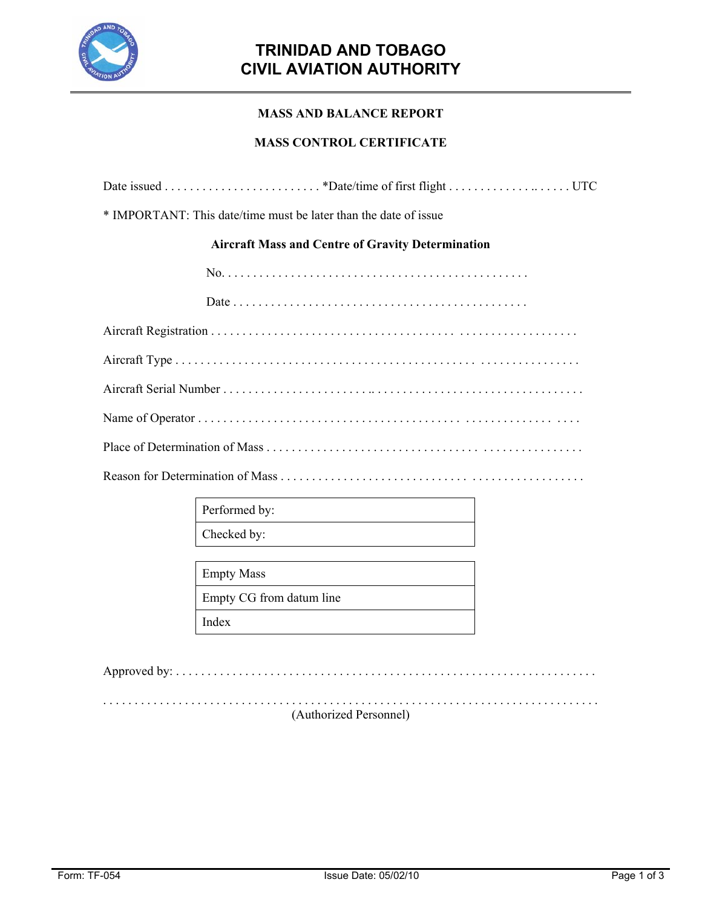

# **TRINIDAD AND TOBAGO CIVIL AVIATION AUTHORITY**

### **MASS AND BALANCE REPORT**

#### **MASS CONTROL CERTIFICATE**

| * IMPORTANT: This date/time must be later than the date of issue |  |
|------------------------------------------------------------------|--|
| <b>Aircraft Mass and Centre of Gravity Determination</b>         |  |
|                                                                  |  |
|                                                                  |  |
|                                                                  |  |
|                                                                  |  |
|                                                                  |  |
|                                                                  |  |
|                                                                  |  |
|                                                                  |  |

Performed by: Checked by:

Empty Mass

Empty CG from datum line

Index

Approved by: . . . . . . . . . . . . . . . . . . . . . . . . . . . . . . . . . . . . . . . . . . . . . . . . . . . . . . . . . . . . . . . . . . .

. . . . . . . . . . . . . . . . . . . . . . . . . . . . . . . . . . . . . . . . . . . . . . . . . . . . . . . . . . . . . . . . . . . . . . . . . . . . . . . (Authorized Personnel)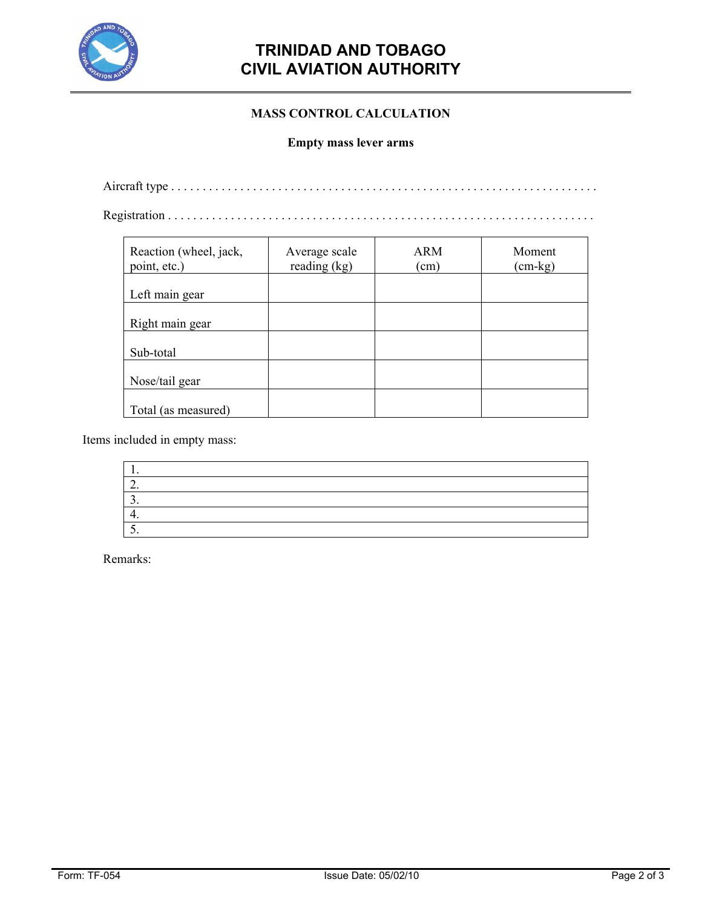

## **TRINIDAD AND TOBAGO CIVIL AVIATION AUTHORITY**

### **MASS CONTROL CALCULATION**

#### **Empty mass lever arms**

Aircraft type . . . . . . . . . . . . . . . . . . . . . . . . . . . . . . . . . . . . . . . . . . . . . . . . . . . . . . . . . . . . . . . . . . . .

Registration . . . . . . . . . . . . . . . . . . . . . . . . . . . . . . . . . . . . . . . . . . . . . . . . . . . . . . . . . . . . . . . . . . . .

| Reaction (wheel, jack,<br>point, etc.) | Average scale<br>reading (kg) | <b>ARM</b><br>(cm) | Moment<br>$(cm - kg)$ |
|----------------------------------------|-------------------------------|--------------------|-----------------------|
| Left main gear                         |                               |                    |                       |
| Right main gear                        |                               |                    |                       |
| Sub-total                              |                               |                    |                       |
| Nose/tail gear                         |                               |                    |                       |
| Total (as measured)                    |                               |                    |                       |

Items included in empty mass:

Remarks: